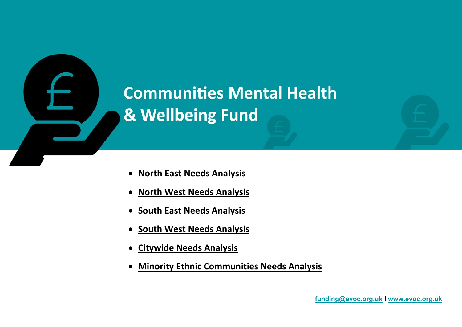

- **[North East Needs Analysis](#page-1-0)**
- **[North West Needs Analysis](#page-2-0)**
- **[South East Needs Analysis](#page-3-0)**
- **[South West Needs Analysis](#page-4-0)**
- **[Citywide Needs](#page-5-0) Analysis**
- **[Minority Ethnic Communities Needs Analysis](#page-8-0)**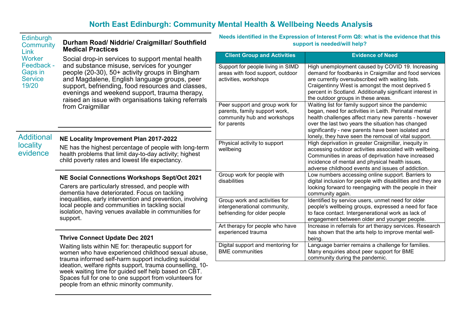# <span id="page-1-0"></span>**North East Edinburgh: Community Mental Health & Wellbeing Needs Analysis**

| Edinburgh<br><b>Community</b><br>Link<br>Worker<br>Feedback -<br><b>Gaps in</b><br><b>Service</b><br>19/20 | Durham Road/ Niddrie/ Craigmillar/ Southfield<br><b>Medical Practices</b><br>Social drop-in services to support mental health<br>and substance misuse, services for younger<br>people (20-30), 50+ activity groups in Bingham<br>and Magdalene, English language groups, peer<br>support, befriending, food resources and classes,<br>evenings and weekend support, trauma therapy,<br>raised an issue with organisations taking referrals<br>from Craigmillar | Needs identified in the Expression of Interest Form Q8: what is the evidence that this<br>support is needed/will help? |                                                                                                                                                                                                                                                                                                                                       |
|------------------------------------------------------------------------------------------------------------|----------------------------------------------------------------------------------------------------------------------------------------------------------------------------------------------------------------------------------------------------------------------------------------------------------------------------------------------------------------------------------------------------------------------------------------------------------------|------------------------------------------------------------------------------------------------------------------------|---------------------------------------------------------------------------------------------------------------------------------------------------------------------------------------------------------------------------------------------------------------------------------------------------------------------------------------|
|                                                                                                            |                                                                                                                                                                                                                                                                                                                                                                                                                                                                | <b>Client Group and Activities</b>                                                                                     | <b>Evidence of Need</b>                                                                                                                                                                                                                                                                                                               |
|                                                                                                            |                                                                                                                                                                                                                                                                                                                                                                                                                                                                | Support for people living in SIMD<br>areas with food support, outdoor<br>activities, workshops                         | High unemployment caused by COVID 19. Increasing<br>demand for foodbanks in Craigmillar and food services<br>are currently oversubscribed with waiting lists.<br>Craigentinny West is amongst the most deprived 5<br>percent in Scotland. Additionally significant interest in<br>the outdoor groups in these areas.                  |
|                                                                                                            |                                                                                                                                                                                                                                                                                                                                                                                                                                                                | Peer support and group work for<br>parents, family support work,<br>community hub and workshops<br>for parents         | Waiting list for family support since the pandemic<br>began, need for activities in Leith. Perinatal mental<br>health challenges affect many new parents - however<br>over the last two years the situation has changed<br>significantly - new parents have been isolated and                                                         |
| <b>Additional</b><br><b>locality</b><br>evidence                                                           | NE Locality Improvement Plan 2017-2022<br>NE has the highest percentage of people with long-term<br>health problems that limit day-to-day activity; highest<br>child poverty rates and lowest life expectancy.                                                                                                                                                                                                                                                 | Physical activity to support<br>wellbeing                                                                              | lonely, they have seen the removal of vital support.<br>High deprivation in greater Craigmillar, inequity in<br>accessing outdoor activities associated with wellbeing.<br>Communities in areas of deprivation have increased<br>incidence of mental and physical health issues,<br>adverse childhood events and issues of addiction. |
|                                                                                                            | NE Social Connections Workshops Sept/Oct 2021<br>Carers are particularly stressed, and people with<br>dementia have deteriorated. Focus on tackling<br>inequalities, early intervention and prevention, involving<br>local people and communities in tackling social<br>isolation, having venues available in communities for<br>support.                                                                                                                      | Group work for people with<br>disabilities                                                                             | Low numbers accessing online support. Barriers to<br>digital inclusion for people with disabilities and they are<br>looking forward to reengaging with the people in their<br>community again.                                                                                                                                        |
|                                                                                                            |                                                                                                                                                                                                                                                                                                                                                                                                                                                                | Group work and activities for<br>intergenerational community,<br>befriending for older people                          | Identified by service users, unmet need for older<br>people's wellbeing groups, expressed a need for face<br>to face contact. Intergenerational work as lack of<br>engagement between older and younger people.                                                                                                                       |
|                                                                                                            | <b>Thrive Connect Update Dec 2021</b>                                                                                                                                                                                                                                                                                                                                                                                                                          | Art therapy for people who have<br>experienced trauma                                                                  | Increase in referrals for art therapy services. Research<br>has shown that the arts help to improve mental well-<br>being.                                                                                                                                                                                                            |
|                                                                                                            | Waiting lists within NE for: therapeutic support for<br>women who have experienced childhood sexual abuse,<br>trauma informed self-harm support including suicidal<br>ideation, welfare rights support, trauma counselling, 10-<br>week waiting time for guided self help based on CBT.<br>Spaces full for one to one support from volunteers for<br>people from an ethnic minority community.                                                                 | Digital support and mentoring for<br><b>BME</b> communities                                                            | Language barrier remains a challenge for families.<br>Many enquiries about peer support for BME<br>community during the pandemic.                                                                                                                                                                                                     |
|                                                                                                            |                                                                                                                                                                                                                                                                                                                                                                                                                                                                |                                                                                                                        |                                                                                                                                                                                                                                                                                                                                       |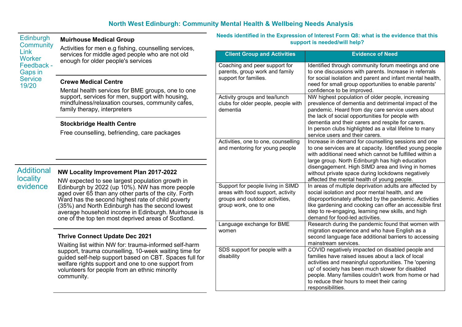# <span id="page-2-0"></span>**North West Edinburgh: Community Mental Health & Wellbeing Needs Analysis**

**Needs identified in the Expression of Interest Form Q8: what is the evidence that this** 

| Edinburgh<br><b>Community</b><br><b>Link</b><br>Worker<br>Feedback -<br>Gaps in<br><b>Service</b><br>19/20 | <b>Muirhouse Medical Group</b><br>Activities for men e.g fishing, counselling services,<br>services for middle aged people who are not old<br>enough for older people's services                                                                                                                                                                                                                                          | Needs identified in the Expression of Interest Form Q8: what is the evidence that this<br>support is needed/will help?             |                                                                                                                                                                                                                                                                                                                                                                                                     |
|------------------------------------------------------------------------------------------------------------|---------------------------------------------------------------------------------------------------------------------------------------------------------------------------------------------------------------------------------------------------------------------------------------------------------------------------------------------------------------------------------------------------------------------------|------------------------------------------------------------------------------------------------------------------------------------|-----------------------------------------------------------------------------------------------------------------------------------------------------------------------------------------------------------------------------------------------------------------------------------------------------------------------------------------------------------------------------------------------------|
|                                                                                                            |                                                                                                                                                                                                                                                                                                                                                                                                                           | <b>Client Group and Activities</b>                                                                                                 | <b>Evidence of Need</b>                                                                                                                                                                                                                                                                                                                                                                             |
|                                                                                                            |                                                                                                                                                                                                                                                                                                                                                                                                                           | Coaching and peer support for<br>parents, group work and family<br>support for families.                                           | Identified through community forum meetings and one<br>to one discussions with parents. Increase in referrals<br>for social isolation and parent and infant mental health,<br>need for small group opportunities to enable parents'                                                                                                                                                                 |
|                                                                                                            | <b>Crewe Medical Centre</b>                                                                                                                                                                                                                                                                                                                                                                                               |                                                                                                                                    |                                                                                                                                                                                                                                                                                                                                                                                                     |
|                                                                                                            | Mental health services for BME groups, one to one<br>support, services for men, support with housing,<br>mindfulness/relaxation courses, community cafes,<br>family therapy, interpreters                                                                                                                                                                                                                                 | Activity groups and tea/lunch<br>clubs for older people, people with<br>dementia                                                   | confidence to be improved.<br>NW highest population of older people, increasing<br>prevalence of dementia and detrimental impact of the<br>pandemic. Heard from day care service users about<br>the lack of social opportunities for people with<br>dementia and their carers and respite for carers.<br>In person clubs highlighted as a vital lifeline to many<br>service users and their carers. |
|                                                                                                            | <b>Stockbridge Health Centre</b><br>Free counselling, befriending, care packages                                                                                                                                                                                                                                                                                                                                          |                                                                                                                                    |                                                                                                                                                                                                                                                                                                                                                                                                     |
|                                                                                                            |                                                                                                                                                                                                                                                                                                                                                                                                                           | Activities, one to one, counselling<br>and mentoring for young people                                                              | Increase in demand for counselling sessions and one<br>to one services are at capacity. Identified young people<br>with additional need which cannot be fulfilled within a<br>large group. North Edinburgh has high education                                                                                                                                                                       |
| <b>Additional</b><br><b>locality</b><br>evidence                                                           | NW Locality Improvement Plan 2017-2022<br>NW expected to see largest population growth in<br>Edinburgh by 2022 (up 10%). NW has more people<br>aged over 65 than any other parts of the city. Forth<br>Ward has the second highest rate of child poverty<br>(35%) and North Edinburgh has the second lowest<br>average household income in Edinburgh. Muirhouse is<br>one of the top ten most deprived areas of Scotland. |                                                                                                                                    | disengagement. High SIMD area and living in homes<br>without private space during lockdowns negatively<br>affected the mental health of young people.                                                                                                                                                                                                                                               |
|                                                                                                            |                                                                                                                                                                                                                                                                                                                                                                                                                           | Support for people living in SIMD<br>areas with food support, activity<br>groups and outdoor activities,<br>group work, one to one | In areas of multiple deprivation adults are affected by<br>social isolation and poor mental health, and are<br>disproportionately affected by the pandemic. Activities<br>like gardening and cooking can offer an accessible first<br>step to re-engaging, learning new skills, and high<br>demand for food-led activities.                                                                         |
|                                                                                                            | <b>Thrive Connect Update Dec 2021</b><br>Waiting list within NW for: trauma-informed self-harm<br>support, trauma counselling, 10-week waiting time for<br>guided self-help support based on CBT. Spaces full for<br>welfare rights support and one to one support from<br>volunteers for people from an ethnic minority<br>community.                                                                                    | Language exchange for BME<br>women                                                                                                 | Research during the pandemic found that women with<br>migration experience and who have English as a<br>second language face additional barriers to accessing<br>mainstream services.                                                                                                                                                                                                               |
|                                                                                                            |                                                                                                                                                                                                                                                                                                                                                                                                                           | SDS support for people with a<br>disability                                                                                        | COVID negatively impacted on disabled people and<br>families have raised issues about a lack of local<br>activities and meaningful opportunities. The 'opening<br>up' of society has been much slower for disabled<br>people. Many families couldn't work from home or had<br>to reduce their hours to meet their caring<br>responsibilities.                                                       |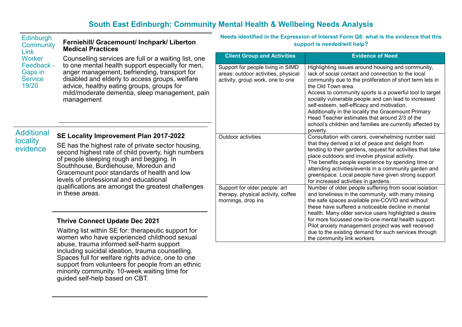# <span id="page-3-0"></span>**South East Edinburgh: Community Mental Health & Wellbeing Needs Analysis**

| <b>Edinburgh</b><br>Community<br><b>Link</b><br><b>Worker</b> | Ferniehill/ Gracemount/ Inchpark/ Liberton<br><b>Medical Practices</b>                                                                                                                                                                                                                                                                                                                                   | Needs identified in the Expression of Interest Form Q8: what is the evidence that this<br>support is needed/will help? |                                                                                                                                                                                                                                                                                                                                                                                                                                                                                                                                            |
|---------------------------------------------------------------|----------------------------------------------------------------------------------------------------------------------------------------------------------------------------------------------------------------------------------------------------------------------------------------------------------------------------------------------------------------------------------------------------------|------------------------------------------------------------------------------------------------------------------------|--------------------------------------------------------------------------------------------------------------------------------------------------------------------------------------------------------------------------------------------------------------------------------------------------------------------------------------------------------------------------------------------------------------------------------------------------------------------------------------------------------------------------------------------|
|                                                               | Counselling services are full or a waiting list, one                                                                                                                                                                                                                                                                                                                                                     | <b>Client Group and Activities</b>                                                                                     | <b>Evidence of Need</b>                                                                                                                                                                                                                                                                                                                                                                                                                                                                                                                    |
| Feedback -<br><b>Gaps in</b><br><b>Service</b><br>19/20       | to one mental health support especially for men,<br>anger management, befriending, transport for<br>disabled and elderly to access groups, welfare<br>advice, healthy eating groups, groups for<br>mild/moderate dementia, sleep management, pain<br>management                                                                                                                                          | Support for people living in SIMD<br>areas: outdoor activities, physical<br>activity, group work, one to one           | Highlighting issues around housing and community,<br>lack of social contact and connection to the local<br>community due to the proliferation of short term lets in<br>the Old Town area.<br>Access to community sports is a powerful tool to target<br>socially vulnerable people and can lead to increased<br>self-esteem, self-efficacy and motivation.<br>Additionally in the locality the Gracemount Primary<br>Head Teacher estimates that around 2/3 of the<br>school's children and families are currently affected by<br>poverty. |
| <b>Additional</b><br>locality<br>evidence                     | SE Locality Improvement Plan 2017-2022<br>SE has the highest rate of private sector housing,<br>second highest rate of child poverty, high numbers<br>of people sleeping rough and begging. In<br>Southhouse, Burdiehouse, Moredun and<br>Gracemount poor standards of health and low<br>levels of professional and educational<br>qualifications are amongst the greatest challenges<br>in these areas. | Outdoor activities                                                                                                     | Consultation with carers, overwhelming number said<br>that they derived a lot of peace and delight from<br>tending to their gardens, request for activities that take<br>place outdoors and involve physical activity.<br>The benefits people experience by spending time or<br>attending activities/events in a community garden and<br>greenspace. Local people have given strong support<br>for increased activities in gardens.                                                                                                        |
|                                                               |                                                                                                                                                                                                                                                                                                                                                                                                          | Support for older people: art<br>therapy, physical activity, coffee<br>mornings, drop ins                              | Number of older people suffering from social isolation<br>and loneliness in the community, with many missing<br>the safe spaces available pre-COVID and without<br>these have suffered a noticeable decline in mental<br>health. Many older service users highlighted a desire                                                                                                                                                                                                                                                             |
|                                                               | <b>Thrive Connect Update Dec 2021</b><br>Waiting list within SE for: therapeutic support for<br>women who have experienced childhood sexual<br>abuse trauma informed self-harm support                                                                                                                                                                                                                   |                                                                                                                        | for more focussed one-to-one mental health support.<br>Pilot anxiety management project was well received<br>due to the existing demand for such services through<br>the community link workers.                                                                                                                                                                                                                                                                                                                                           |

abuse, trauma informed self-harm support including suicidal ideation, trauma counselling. Spaces full for welfare rights advice, one to one support from volunteers for people from an ethnic minority community. 10-week waiting time for guided self-help based on CBT.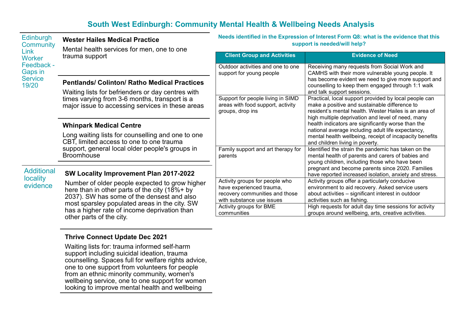# <span id="page-4-0"></span>**South West Edinburgh: Community Mental Health & Wellbeing Needs Analysis**

**Needs identified in the Expression of Interest Form Q8: what is the evidence that this** 

| <b>Community</b><br>Link<br><b>Worker</b><br>Feedback -<br>Gaps in<br><b>Service</b><br>19/20 | Mental health services for men, one to one<br>trauma support                                                                                                                                                                                   | support is needed/will help?                                                               |                                                                                                                                                                                                                                                                                                                                 |  |
|-----------------------------------------------------------------------------------------------|------------------------------------------------------------------------------------------------------------------------------------------------------------------------------------------------------------------------------------------------|--------------------------------------------------------------------------------------------|---------------------------------------------------------------------------------------------------------------------------------------------------------------------------------------------------------------------------------------------------------------------------------------------------------------------------------|--|
|                                                                                               |                                                                                                                                                                                                                                                | <b>Client Group and Activities</b>                                                         | <b>Evidence of Need</b>                                                                                                                                                                                                                                                                                                         |  |
|                                                                                               |                                                                                                                                                                                                                                                | Outdoor activities and one to one<br>support for young people                              | Receiving many requests from Social Work and<br>CAMHS with their more vulnerable young people. It                                                                                                                                                                                                                               |  |
|                                                                                               | <b>Pentlands/ Colinton/ Ratho Medical Practices</b>                                                                                                                                                                                            |                                                                                            | has become evident we need to give more support and<br>counselling to keep them engaged through 1:1 walk                                                                                                                                                                                                                        |  |
|                                                                                               | Waiting lists for befrienders or day centres with<br>times varying from 3-6 months, transport is a<br>major issue to accessing services in these areas                                                                                         |                                                                                            | and talk support sessions.                                                                                                                                                                                                                                                                                                      |  |
|                                                                                               |                                                                                                                                                                                                                                                | Support for people living in SIMD<br>areas with food support, activity<br>groups, drop ins | Practical, local support provided by local people can<br>make a positive and sustainable difference to<br>resident's mental health. Wester Hailes is an area of<br>high multiple deprivation and level of need, many<br>health indicators are significantly worse than the<br>national average including adult life expectancy, |  |
|                                                                                               | <b>Whinpark Medical Centre</b>                                                                                                                                                                                                                 |                                                                                            |                                                                                                                                                                                                                                                                                                                                 |  |
|                                                                                               | Long waiting lists for counselling and one to one<br>CBT, limited access to one to one trauma<br>support, general local older people's groups in<br><b>Broomhouse</b>                                                                          |                                                                                            | mental health wellbeing, receipt of incapacity benefits<br>and children living in poverty.                                                                                                                                                                                                                                      |  |
|                                                                                               |                                                                                                                                                                                                                                                | Family support and art therapy for<br>parents                                              | Identified the strain the pandemic has taken on the<br>mental health of parents and carers of babies and                                                                                                                                                                                                                        |  |
|                                                                                               |                                                                                                                                                                                                                                                |                                                                                            | young children, including those who have been                                                                                                                                                                                                                                                                                   |  |
| <b>Additional</b><br><b>locality</b><br>evidence                                              | <b>SW Locality Improvement Plan 2017-2022</b>                                                                                                                                                                                                  |                                                                                            | pregnant and become parents since 2020. Families<br>have reported increased isolation, anxiety and stress.                                                                                                                                                                                                                      |  |
|                                                                                               | Number of older people expected to grow higher<br>here than in other parts of the city (18%+ by<br>2037). SW has some of the densest and also<br>most sparsley populated areas in the city. SW<br>has a higher rate of income deprivation than | Activity groups for people who                                                             | Activity groups offer a particularly conducive                                                                                                                                                                                                                                                                                  |  |
|                                                                                               |                                                                                                                                                                                                                                                | have experienced trauma,                                                                   | environment to aid recovery. Asked service users                                                                                                                                                                                                                                                                                |  |
|                                                                                               |                                                                                                                                                                                                                                                | recovery communities and those<br>with substance use issues                                | about activities - significant interest in outdoor<br>activities such as fishing.                                                                                                                                                                                                                                               |  |
|                                                                                               |                                                                                                                                                                                                                                                | Activity groups for BME<br>communities                                                     | High requests for adult day time sessions for activity<br>groups around wellbeing, arts, creative activities.                                                                                                                                                                                                                   |  |
|                                                                                               | other parts of the city.                                                                                                                                                                                                                       |                                                                                            |                                                                                                                                                                                                                                                                                                                                 |  |

#### **Edinburgh Wester Hailes Medical Practice**

# **Thrive Connect Update Dec 2021**

Waiting lists for: trauma informed self-harm support including suicidal ideation, trauma counselling. Spaces full for welfare rights advice, one to one support from volunteers for people from an ethnic minority community, women's wellbeing service, one to one support for women looking to improve mental health and wellbeing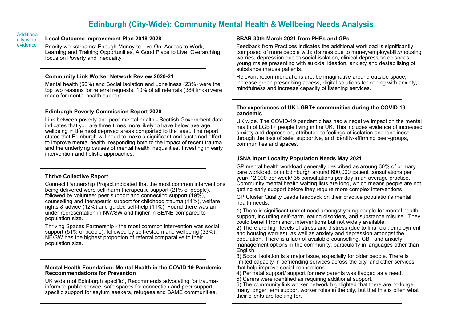#### Additional city-wide evidence

#### <span id="page-5-0"></span>**Local Outcome Improvement Plan 2018-2028**

Priority workstreams: Enough Money to Live On, Access to Work, Learning and Training Opportunities, A Good Place to Live. Overarching focus on Poverty and Inequality

#### **Community Link Worker Network Review 2020-21**

Mental health (50%) and Social Isolation and Loneliness (23%) were the top two reasons for referral requests. 10% of all referrals (384 links) were made for mental health support

#### **Edinburgh Poverty Commission Report 2020**

Link between poverty and poor mental health - Scottish Government data indicates that you are three times more likely to have below average wellbeing in the most deprived areas comparted to the least. The report states that Edinburgh will need to make a significant and sustained effort to improve mental health, responding both to the impact of recent trauma and the underlying causes of mental health inequalities. Investing in early intervention and holistic approaches.

#### **Thrive Collective Report**

Connect Partnership Project indicated that the most common interventions being delivered were self-harm therapeutic support (21% of people), followed by volunteer peer support and connecting support (19%), counselling and therapeutic support for childhood trauma (14%), welfare rights & advice (12%) and guided self-help (11%). Found there was an under representation in NW/SW and higher in SE/NE compared to population size.

Thriving Spaces Partnership - the most common intervention was social support (51% of people), followed by self-esteem and wellbeing (33%). NE/SW has the highest proportion of referral comparative to their population size.

#### **Mental Health Foundation: Mental Health in the COVID 19 Pandemic - Reccommendations for Prevention**

UK wide (not Edinburgh specific), Recommends advocating for traumainformed public service, safe spaces for connection and peer support, specific support for asylum seekers, refugees and BAME communities.

#### **SBAR 30th March 2021 from PHPs and GPs**

Feedback from Practices indicates the additional workload is significantly composed of more people with: distress due to money/employability/housing worries, depression due to social isolation, clinical depression episodes, young males presenting with suicidal ideation, anxiety and destabilising of substance misuse patients.

Relevant recommendations are: be imaginative around outside space, increase green prescribing access, digital solutions for coping with anxiety, mindfulness and increase capacity of listening services.

#### **The experiences of UK LGBT+ communities during the COVID 19 pandemic**

UK wide. The COVID-19 pandemic has had a negative impact on the mental health of LGBT+ people living in the UK. This includes evidence of increased anxiety and depression, attributed to feelings of isolation and loneliness through the loss of safe, supportive, and identity-affirming peer-groups, communities and spaces.

#### **JSNA Input Locality Population Needs May 2021**

GP mental health workload generally described as aroung 30% of primary care workload, or in Edinburgh around 600,000 patient consultations per year/ 12,000 per week/ 35 consultations per day in an average practice. Community mental health waiting lists are long, which means people are not getting early support before they require more complex interventions.

GP Cluster Quality Leads feedback on their practice population's mental health needs:

1) There is significant unmet need amongst young people for mental health support, including self-harm, eating disorders, and substance misuse. They could benefit from short interventions but not widely available.

2) There are high levels of stress and distress (due to financial, employment and housing worries), as well as anxiety and depression amongst the population. There is a lack of available counselling, CBT and anxiety management options in the community, particularly in languages other than English.

3) Social isolation is a major issue, especially for older people. There is limited capacity in befriending services across the city, and other services that help improve social connections.

4) Perinatal support/ support for new parents was flagged as a need.

5) Carers were identified as requiring additional support.

6) The community link worker network highlighted that there are no longer many longer term support worker roles in the city, but that this is often what their clients are looking for.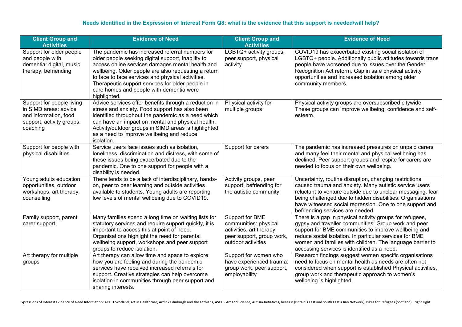#### **Needs identified in the Expression of Interest Form Q8: what is the evidence that this support is needed/will help?**

| <b>Client Group and</b><br><b>Activities</b>                                                                         | <b>Evidence of Need</b>                                                                                                                                                                                                                                                                                                                                                                | <b>Client Group and</b><br><b>Activities</b>                                                                            | <b>Evidence of Need</b>                                                                                                                                                                                                                                                                                                                         |
|----------------------------------------------------------------------------------------------------------------------|----------------------------------------------------------------------------------------------------------------------------------------------------------------------------------------------------------------------------------------------------------------------------------------------------------------------------------------------------------------------------------------|-------------------------------------------------------------------------------------------------------------------------|-------------------------------------------------------------------------------------------------------------------------------------------------------------------------------------------------------------------------------------------------------------------------------------------------------------------------------------------------|
| Support for older people<br>and people with<br>dementia: digital, music,<br>therapy, befriending                     | The pandemic has increased referral numbers for<br>older people seeking digital support, inability to<br>access online services damages mental health and<br>wellbeing. Older people are also requesting a return<br>to face to face services and physical activities.<br>Therapeutic support services for older people in<br>care homes and people with dementia were<br>highlighted. | LGBTQ+ activity groups,<br>peer support, physical<br>activity                                                           | COVID19 has exacerbated existing social isolation of<br>LGBTQ+ people. Additionally public attitudes towards trans<br>people have worsened due to issues over the Gender<br>Recognition Act reform. Gap in safe physical activity<br>opportunities and increased isolation among older<br>community members.                                    |
| Support for people living<br>in SIMD areas: advice<br>and information, food<br>support, activity groups,<br>coaching | Advice services offer benefits through a reduction in<br>stress and anxiety. Food support has also been<br>identified throughout the pandemic as a need which<br>can have an impact on mental and physical health.<br>Activity/outdoor groups in SIMD areas is highlighted<br>as a need to improve wellbeing and reduce<br>isolation.                                                  | Physical activity for<br>multiple groups                                                                                | Physical activity groups are oversubscribed citywide.<br>These groups can improve wellbeing, confidence and self-<br>esteem.                                                                                                                                                                                                                    |
| Support for people with<br>physical disabilities                                                                     | Service users face issues such as isolation,<br>loneliness, discrimination and distress, with some of<br>these issues being exacerbated due to the<br>pandemic. One to one support for people with a<br>disability is needed.                                                                                                                                                          | Support for carers                                                                                                      | The pandemic has increased pressures on unpaid carers<br>and many feel their mental and physical wellbeing has<br>declined. Peer support groups and respite for carers are<br>needed to focus on their own wellbeing.                                                                                                                           |
| Young adults education<br>opportunities, outdoor<br>workshops, art therapy,<br>counselling                           | There tends to be a lack of interdisciplinary, hands-<br>on, peer to peer learning and outside activities<br>available to students. Young adults are reporting<br>low levels of mental wellbeing due to COVID19.                                                                                                                                                                       | Activity groups, peer<br>support, befriending for<br>the autistic community                                             | Uncertainty, routine disruption, changing restrictions<br>caused trauma and anxiety. Many autistic service users<br>reluctant to venture outside due to unclear messaging, fear<br>being challenged due to hidden disabilities. Organisations<br>have witnessed social regression. One to one support and<br>befriending services are needed.   |
| Family support, parent<br>carer support                                                                              | Many families spend a long time on waiting lists for<br>statutory services and require support quickly, it is<br>important to access this at point of need.<br>Organisations highlight the need for parental<br>wellbeing support, workshops and peer support<br>groups to reduce isolation.                                                                                           | Support for BME<br>communities: physical<br>activities, art therapy,<br>peer support, group work,<br>outdoor activities | There is a gap in physical activity groups for refugees,<br>gypsy and traveller communities. Group work and peer<br>support for BME communities to improve wellbeing and<br>reduce social isolation. In particular services for BME<br>women and families with children. The language barrier to<br>accessing services is identified as a need. |
| Art therapy for multiple<br>groups                                                                                   | Art therapy can allow time and space to explore<br>how you are feeling and during the pandemic<br>services have received increased referrals for<br>support. Creative strategies can help overcome<br>isolation in communities through peer support and<br>sharing interests.                                                                                                          | Support for women who<br>have experienced trauma:<br>group work, peer support,<br>employability                         | Research findings suggest women specific organisations<br>need to focus on mental health as needs are often not<br>considered when support is established Physical activities,<br>group work and therapeutic approach to women's<br>wellbeing is highlighted.                                                                                   |

Expressions of Interest Evidence of Need Information: ACE IT Scotland, Art in Healthcare, Artlink Edinburgh and the Lothians, ASCUS Art and Science, Autism Initiatives, besea.n (Britain's East and South East Asian Network)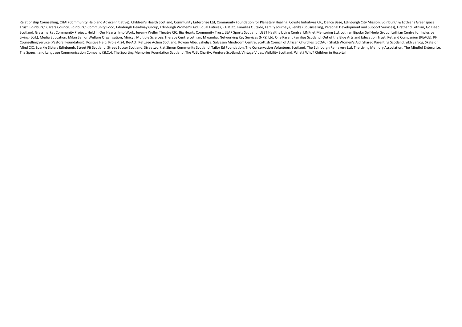Relationship Counselling, CHAI (Community Help and Advice Initiative), Children's Health Scotland, Community Enterprise Ltd, Community Foundation for Planetary Healing, Coyote Initiatives CIC, Dance Base, Edinburgh City Mi Trust. Edinburgh Carers Council. Edinburgh Community Food. Edinburgh Headway Group. Edinburgh Women's Aid. Equal Futures. FAIR Ltd. Families Outside. Family Journeys. Feniks (Cousnselling. Personal Development and Support Scotland, Grassmarket Community Project, Held in Our Hearts, Into Work, Jeremy Weller Theatre CIC, Big Hearts Community Trust, LEAP Sports Scotland, LGBT Healthy Living Centre, LINKnet Mentoring Ltd, Lothian Bipolar Self-h Living (LCiL), Media Education, Milan Senior Welfare Organisation, Miricyl, Multiple Sclerosis Therapy Centre Lothian, Mwamba, Networking Key Services (NKS) Ltd, One Parent Families Scotland, Out of the Blue Arts and Educa Counselling Service (Pastoral Foundation), Positive Help, Projekt 24, Re-Act: Refugee Action Scotland, Rowan Alba, Saheliya, Salvesen Mindroom Centre, Scottish Council of African Churches (SCOAC), Shakti Women's Aid, Share Mind CIC, Sparkle Sisters Edinburgh, Street Fit Scotland, Street Soccer Scotland, Street Soccer Scotland, Street Soccer Scotland, Street Work at Simon Community Scotland. Tailor Ed Foundation. The Conservation Volunteers S The Speech and Language Communication Company (SLCo), The Sporting Memories Foundation Scotland, The WEL Charity, Venture Scotland, Vintage Vibes, Visibility Scotland, What? Why? Children in Hospital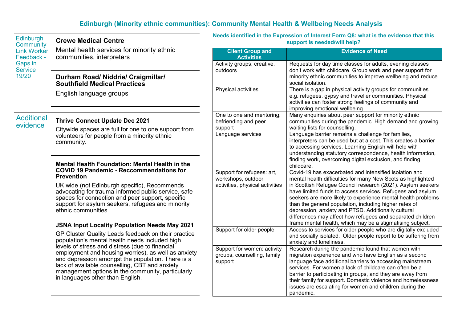## <span id="page-8-0"></span>**Edinburgh (Minority ethnic communities): Community Mental Health & Wellbeing Needs Analysis**

# **Crewe Medical Centre**

Mental health services for minority ethnic communities, interpreters

#### **Durham Road/ Niddrie/ Craigmillar/ Southfield Medical Practices**

English language groups

# Additional<br>evidence

### **Thrive Connect Update Dec 2021**

Citywide spaces are full for one to one support from volunteers for people from a minority ethnic community.

#### **Mental Health Foundation: Mental Health in the COVID 19 Pandemic - Reccommendations for Prevention**

UK wide (not Edinburgh specific), Recommends advocating for trauma-informed public service, safe spaces for connection and peer support, specific support for asylum seekers, refugees and minority ethnic communities

#### **JSNA Input Locality Population Needs May 2021**

GP Cluster Quality Leads feedback on their practice population's mental health needs included high levels of stress and distress (due to financial, employment and housing worries), as well as anxiety and depression amongst the population. There is a lack of available counselling, CBT and anxiety management options in the community, particularly in languages other than English.

**Needs identified in the Expression of Interest Form Q8: what is the evidence that this support is needed/will help?**

| <b>Client Group and</b><br><b>Activities</b>                                        | <b>Evidence of Need</b>                                                                                                                                                                                                                                                                                                                                                                                                                                                                                                                                         |
|-------------------------------------------------------------------------------------|-----------------------------------------------------------------------------------------------------------------------------------------------------------------------------------------------------------------------------------------------------------------------------------------------------------------------------------------------------------------------------------------------------------------------------------------------------------------------------------------------------------------------------------------------------------------|
| Activity groups, creative,<br>outdoors                                              | Requests for day time classes for adults, evening classes<br>don't work with childcare. Group work and peer support for<br>minority ethnic communities to improve wellbeing and reduce<br>social isolation.                                                                                                                                                                                                                                                                                                                                                     |
| Physical activities                                                                 | There is a gap in physical activity groups for communities<br>e.g. refugees, gypsy and traveller communities. Physical<br>activities can foster strong feelings of community and<br>improving emotional wellbeing.                                                                                                                                                                                                                                                                                                                                              |
| One to one and mentoring,<br>befriending and peer<br>support                        | Many enquiries about peer support for minority ethnic<br>communities during the pandemic. High demand and growing<br>waiting lists for counselling.                                                                                                                                                                                                                                                                                                                                                                                                             |
| Language services                                                                   | Language barrier remains a challenge for families,<br>interpreters can be used but at a cost. This creates a barrier<br>to accessing services. Learning English will help with<br>understanding statutory correspondence, health information,<br>finding work, overcoming digital exclusion, and finding<br>childcare.                                                                                                                                                                                                                                          |
| Support for refugees: art,<br>workshops, outdoor<br>activities, physical activities | Covid-19 has exacerbated and intensified isolation and<br>mental health difficulties for many New Scots as highlighted<br>in Scottish Refugee Council research (2021). Asylum seekers<br>have limited funds to access services. Refugees and asylum<br>seekers are more likely to experience mental health problems<br>than the general population, including higher rates of<br>depression, anxiety and PTSD. Additionally cultural<br>differences may affect how refugees and separated children<br>frame mental health, which may be a stigmatising subject. |
| Support for older people                                                            | Access to services for older people who are digitally excluded<br>and socially isolated. Older people report to be suffering from<br>anxiety and loneliness.                                                                                                                                                                                                                                                                                                                                                                                                    |
| Support for women: activity<br>groups, counselling, family<br>support               | Research during the pandemic found that women with<br>migration experience and who have English as a second<br>language face additional barriers to accessing mainstream<br>services. For women a lack of childcare can often be a<br>barrier to participating in groups, and they are away from<br>their family for support. Domestic violence and homelessness<br>issues are escalating for women and children during the<br>pandemic.                                                                                                                        |